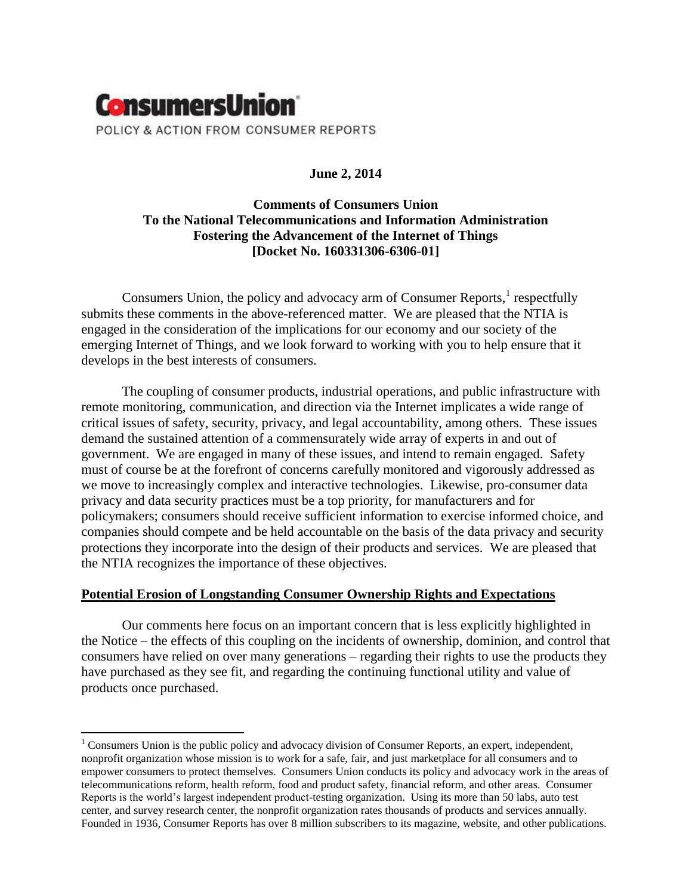

# **June 2, 2014**

# **Comments of Consumers Union To the National Telecommunications and Information Administration Fostering the Advancement of the Internet of Things [Docket No. 160331306-6306-01]**

Consumers Union, the policy and advocacy arm of Consumer Reports, $<sup>1</sup>$  respectfully</sup> submits these comments in the above-referenced matter. We are pleased that the NTIA is engaged in the consideration of the implications for our economy and our society of the emerging Internet of Things, and we look forward to working with you to help ensure that it develops in the best interests of consumers.

The coupling of consumer products, industrial operations, and public infrastructure with remote monitoring, communication, and direction via the Internet implicates a wide range of critical issues of safety, security, privacy, and legal accountability, among others. These issues demand the sustained attention of a commensurately wide array of experts in and out of government. We are engaged in many of these issues, and intend to remain engaged. Safety must of course be at the forefront of concerns carefully monitored and vigorously addressed as we move to increasingly complex and interactive technologies. Likewise, pro-consumer data privacy and data security practices must be a top priority, for manufacturers and for policymakers; consumers should receive sufficient information to exercise informed choice, and companies should compete and be held accountable on the basis of the data privacy and security protections they incorporate into the design of their products and services. We are pleased that the NTIA recognizes the importance of these objectives.

## **Potential Erosion of Longstanding Consumer Ownership Rights and Expectations**

 $\overline{\phantom{a}}$ 

Our comments here focus on an important concern that is less explicitly highlighted in the Notice – the effects of this coupling on the incidents of ownership, dominion, and control that consumers have relied on over many generations – regarding their rights to use the products they have purchased as they see fit, and regarding the continuing functional utility and value of products once purchased.

<sup>&</sup>lt;sup>1</sup> Consumers Union is the public policy and advocacy division of Consumer Reports, an expert, independent, nonprofit organization whose mission is to work for a safe, fair, and just marketplace for all consumers and to empower consumers to protect themselves. Consumers Union conducts its policy and advocacy work in the areas of telecommunications reform, health reform, food and product safety, financial reform, and other areas. Consumer Reports is the world's largest independent product-testing organization. Using its more than 50 labs, auto test center, and survey research center, the nonprofit organization rates thousands of products and services annually. Founded in 1936, Consumer Reports has over 8 million subscribers to its magazine, website, and other publications.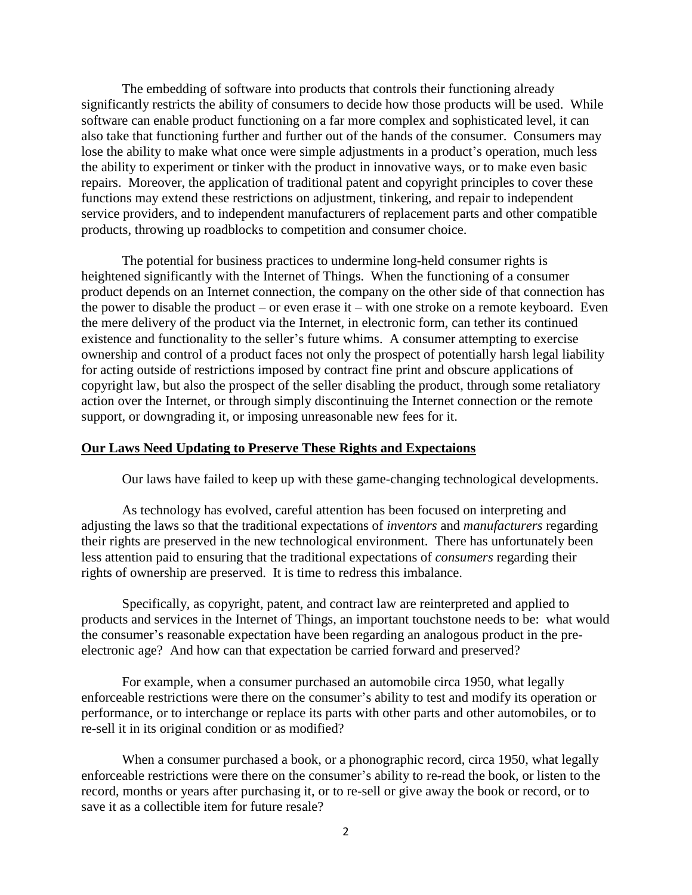The embedding of software into products that controls their functioning already significantly restricts the ability of consumers to decide how those products will be used. While software can enable product functioning on a far more complex and sophisticated level, it can also take that functioning further and further out of the hands of the consumer. Consumers may lose the ability to make what once were simple adjustments in a product's operation, much less the ability to experiment or tinker with the product in innovative ways, or to make even basic repairs. Moreover, the application of traditional patent and copyright principles to cover these functions may extend these restrictions on adjustment, tinkering, and repair to independent service providers, and to independent manufacturers of replacement parts and other compatible products, throwing up roadblocks to competition and consumer choice.

The potential for business practices to undermine long-held consumer rights is heightened significantly with the Internet of Things. When the functioning of a consumer product depends on an Internet connection, the company on the other side of that connection has the power to disable the product – or even erase it – with one stroke on a remote keyboard. Even the mere delivery of the product via the Internet, in electronic form, can tether its continued existence and functionality to the seller's future whims. A consumer attempting to exercise ownership and control of a product faces not only the prospect of potentially harsh legal liability for acting outside of restrictions imposed by contract fine print and obscure applications of copyright law, but also the prospect of the seller disabling the product, through some retaliatory action over the Internet, or through simply discontinuing the Internet connection or the remote support, or downgrading it, or imposing unreasonable new fees for it.

### **Our Laws Need Updating to Preserve These Rights and Expectaions**

Our laws have failed to keep up with these game-changing technological developments.

As technology has evolved, careful attention has been focused on interpreting and adjusting the laws so that the traditional expectations of *inventors* and *manufacturers* regarding their rights are preserved in the new technological environment. There has unfortunately been less attention paid to ensuring that the traditional expectations of *consumers* regarding their rights of ownership are preserved. It is time to redress this imbalance.

Specifically, as copyright, patent, and contract law are reinterpreted and applied to products and services in the Internet of Things, an important touchstone needs to be: what would the consumer's reasonable expectation have been regarding an analogous product in the preelectronic age? And how can that expectation be carried forward and preserved?

For example, when a consumer purchased an automobile circa 1950, what legally enforceable restrictions were there on the consumer's ability to test and modify its operation or performance, or to interchange or replace its parts with other parts and other automobiles, or to re-sell it in its original condition or as modified?

When a consumer purchased a book, or a phonographic record, circa 1950, what legally enforceable restrictions were there on the consumer's ability to re-read the book, or listen to the record, months or years after purchasing it, or to re-sell or give away the book or record, or to save it as a collectible item for future resale?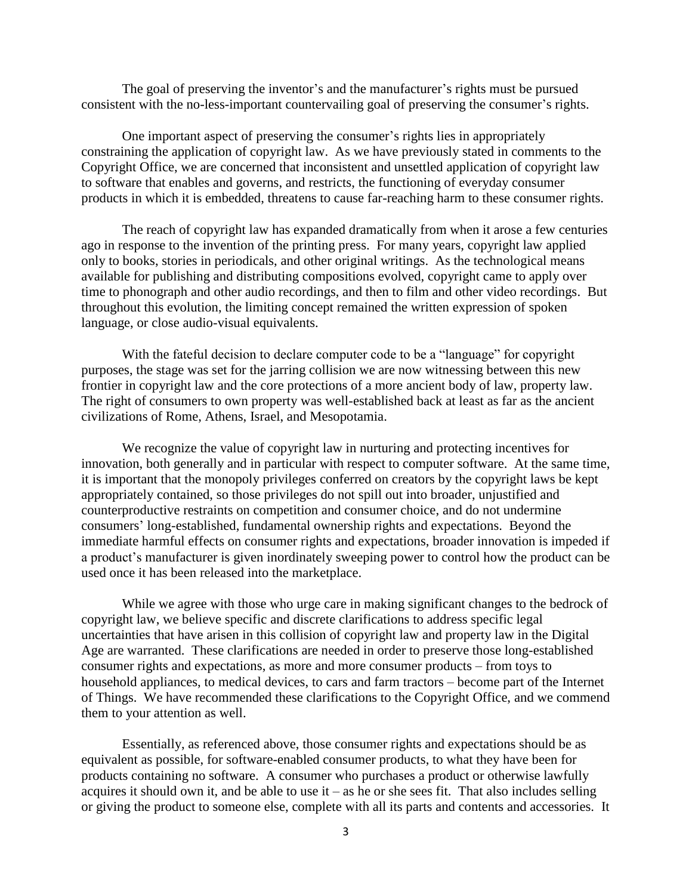The goal of preserving the inventor's and the manufacturer's rights must be pursued consistent with the no-less-important countervailing goal of preserving the consumer's rights.

One important aspect of preserving the consumer's rights lies in appropriately constraining the application of copyright law. As we have previously stated in comments to the Copyright Office, we are concerned that inconsistent and unsettled application of copyright law to software that enables and governs, and restricts, the functioning of everyday consumer products in which it is embedded, threatens to cause far-reaching harm to these consumer rights.

The reach of copyright law has expanded dramatically from when it arose a few centuries ago in response to the invention of the printing press. For many years, copyright law applied only to books, stories in periodicals, and other original writings. As the technological means available for publishing and distributing compositions evolved, copyright came to apply over time to phonograph and other audio recordings, and then to film and other video recordings. But throughout this evolution, the limiting concept remained the written expression of spoken language, or close audio-visual equivalents.

With the fateful decision to declare computer code to be a "language" for copyright purposes, the stage was set for the jarring collision we are now witnessing between this new frontier in copyright law and the core protections of a more ancient body of law, property law. The right of consumers to own property was well-established back at least as far as the ancient civilizations of Rome, Athens, Israel, and Mesopotamia.

We recognize the value of copyright law in nurturing and protecting incentives for innovation, both generally and in particular with respect to computer software. At the same time, it is important that the monopoly privileges conferred on creators by the copyright laws be kept appropriately contained, so those privileges do not spill out into broader, unjustified and counterproductive restraints on competition and consumer choice, and do not undermine consumers' long-established, fundamental ownership rights and expectations. Beyond the immediate harmful effects on consumer rights and expectations, broader innovation is impeded if a product's manufacturer is given inordinately sweeping power to control how the product can be used once it has been released into the marketplace.

While we agree with those who urge care in making significant changes to the bedrock of copyright law, we believe specific and discrete clarifications to address specific legal uncertainties that have arisen in this collision of copyright law and property law in the Digital Age are warranted. These clarifications are needed in order to preserve those long-established consumer rights and expectations, as more and more consumer products – from toys to household appliances, to medical devices, to cars and farm tractors – become part of the Internet of Things. We have recommended these clarifications to the Copyright Office, and we commend them to your attention as well.

Essentially, as referenced above, those consumer rights and expectations should be as equivalent as possible, for software-enabled consumer products, to what they have been for products containing no software. A consumer who purchases a product or otherwise lawfully acquires it should own it, and be able to use it – as he or she sees fit. That also includes selling or giving the product to someone else, complete with all its parts and contents and accessories. It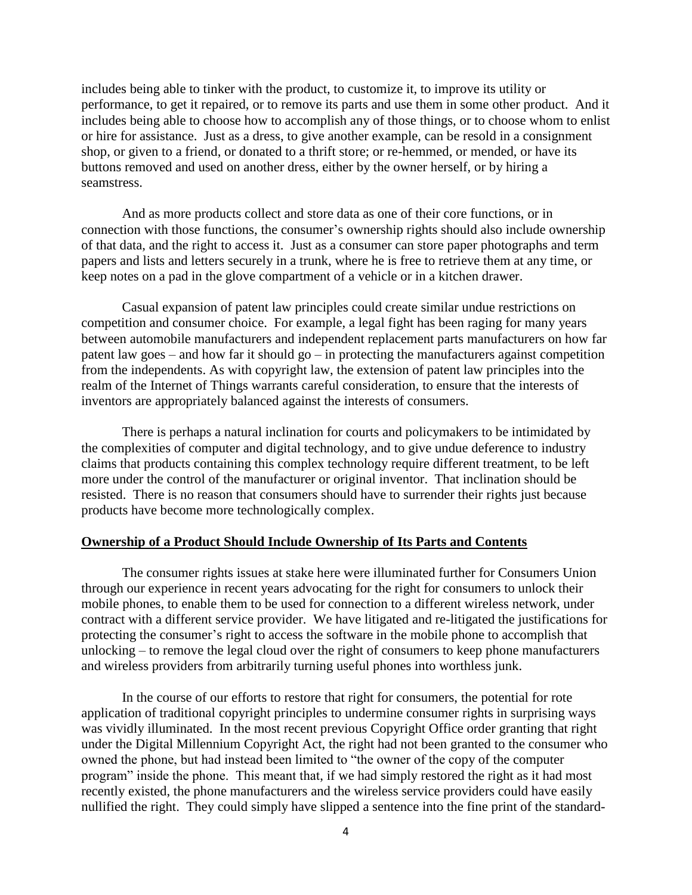includes being able to tinker with the product, to customize it, to improve its utility or performance, to get it repaired, or to remove its parts and use them in some other product. And it includes being able to choose how to accomplish any of those things, or to choose whom to enlist or hire for assistance. Just as a dress, to give another example, can be resold in a consignment shop, or given to a friend, or donated to a thrift store; or re-hemmed, or mended, or have its buttons removed and used on another dress, either by the owner herself, or by hiring a seamstress.

And as more products collect and store data as one of their core functions, or in connection with those functions, the consumer's ownership rights should also include ownership of that data, and the right to access it. Just as a consumer can store paper photographs and term papers and lists and letters securely in a trunk, where he is free to retrieve them at any time, or keep notes on a pad in the glove compartment of a vehicle or in a kitchen drawer.

Casual expansion of patent law principles could create similar undue restrictions on competition and consumer choice. For example, a legal fight has been raging for many years between automobile manufacturers and independent replacement parts manufacturers on how far patent law goes – and how far it should go – in protecting the manufacturers against competition from the independents. As with copyright law, the extension of patent law principles into the realm of the Internet of Things warrants careful consideration, to ensure that the interests of inventors are appropriately balanced against the interests of consumers.

There is perhaps a natural inclination for courts and policymakers to be intimidated by the complexities of computer and digital technology, and to give undue deference to industry claims that products containing this complex technology require different treatment, to be left more under the control of the manufacturer or original inventor. That inclination should be resisted. There is no reason that consumers should have to surrender their rights just because products have become more technologically complex.

## **Ownership of a Product Should Include Ownership of Its Parts and Contents**

The consumer rights issues at stake here were illuminated further for Consumers Union through our experience in recent years advocating for the right for consumers to unlock their mobile phones, to enable them to be used for connection to a different wireless network, under contract with a different service provider. We have litigated and re-litigated the justifications for protecting the consumer's right to access the software in the mobile phone to accomplish that unlocking – to remove the legal cloud over the right of consumers to keep phone manufacturers and wireless providers from arbitrarily turning useful phones into worthless junk.

In the course of our efforts to restore that right for consumers, the potential for rote application of traditional copyright principles to undermine consumer rights in surprising ways was vividly illuminated. In the most recent previous Copyright Office order granting that right under the Digital Millennium Copyright Act, the right had not been granted to the consumer who owned the phone, but had instead been limited to "the owner of the copy of the computer program" inside the phone. This meant that, if we had simply restored the right as it had most recently existed, the phone manufacturers and the wireless service providers could have easily nullified the right. They could simply have slipped a sentence into the fine print of the standard-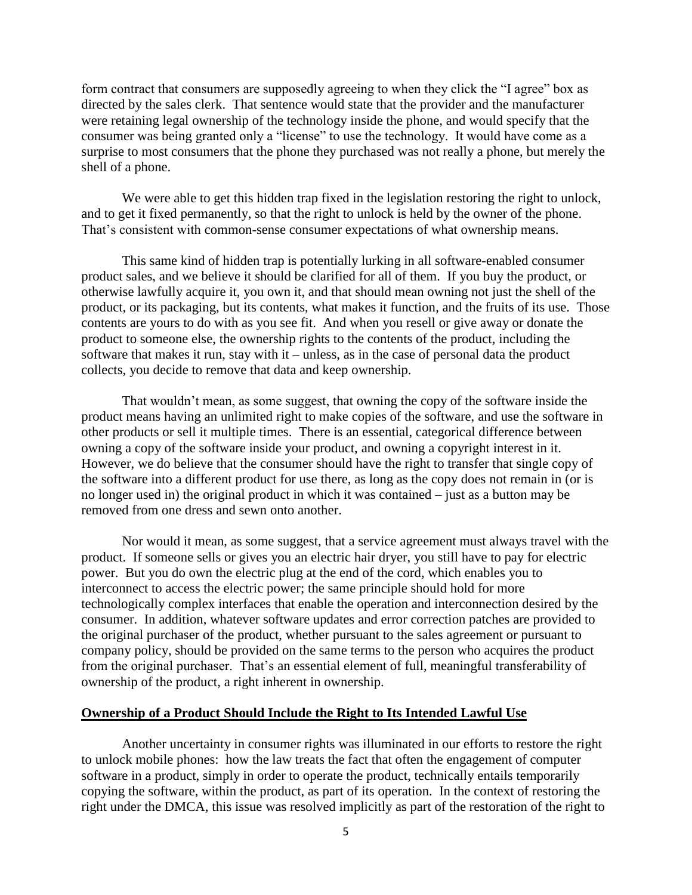form contract that consumers are supposedly agreeing to when they click the "I agree" box as directed by the sales clerk. That sentence would state that the provider and the manufacturer were retaining legal ownership of the technology inside the phone, and would specify that the consumer was being granted only a "license" to use the technology. It would have come as a surprise to most consumers that the phone they purchased was not really a phone, but merely the shell of a phone.

We were able to get this hidden trap fixed in the legislation restoring the right to unlock, and to get it fixed permanently, so that the right to unlock is held by the owner of the phone. That's consistent with common-sense consumer expectations of what ownership means.

This same kind of hidden trap is potentially lurking in all software-enabled consumer product sales, and we believe it should be clarified for all of them. If you buy the product, or otherwise lawfully acquire it, you own it, and that should mean owning not just the shell of the product, or its packaging, but its contents, what makes it function, and the fruits of its use. Those contents are yours to do with as you see fit. And when you resell or give away or donate the product to someone else, the ownership rights to the contents of the product, including the software that makes it run, stay with it – unless, as in the case of personal data the product collects, you decide to remove that data and keep ownership.

That wouldn't mean, as some suggest, that owning the copy of the software inside the product means having an unlimited right to make copies of the software, and use the software in other products or sell it multiple times. There is an essential, categorical difference between owning a copy of the software inside your product, and owning a copyright interest in it. However, we do believe that the consumer should have the right to transfer that single copy of the software into a different product for use there, as long as the copy does not remain in (or is no longer used in) the original product in which it was contained – just as a button may be removed from one dress and sewn onto another.

Nor would it mean, as some suggest, that a service agreement must always travel with the product. If someone sells or gives you an electric hair dryer, you still have to pay for electric power. But you do own the electric plug at the end of the cord, which enables you to interconnect to access the electric power; the same principle should hold for more technologically complex interfaces that enable the operation and interconnection desired by the consumer. In addition, whatever software updates and error correction patches are provided to the original purchaser of the product, whether pursuant to the sales agreement or pursuant to company policy, should be provided on the same terms to the person who acquires the product from the original purchaser. That's an essential element of full, meaningful transferability of ownership of the product, a right inherent in ownership.

### **Ownership of a Product Should Include the Right to Its Intended Lawful Use**

Another uncertainty in consumer rights was illuminated in our efforts to restore the right to unlock mobile phones: how the law treats the fact that often the engagement of computer software in a product, simply in order to operate the product, technically entails temporarily copying the software, within the product, as part of its operation. In the context of restoring the right under the DMCA, this issue was resolved implicitly as part of the restoration of the right to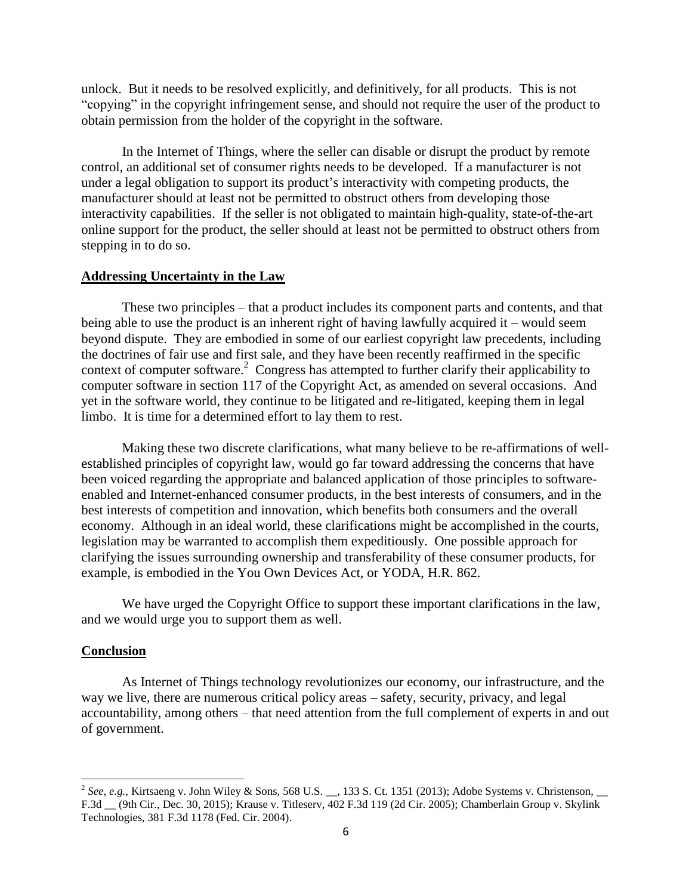unlock. But it needs to be resolved explicitly, and definitively, for all products. This is not "copying" in the copyright infringement sense, and should not require the user of the product to obtain permission from the holder of the copyright in the software.

In the Internet of Things, where the seller can disable or disrupt the product by remote control, an additional set of consumer rights needs to be developed. If a manufacturer is not under a legal obligation to support its product's interactivity with competing products, the manufacturer should at least not be permitted to obstruct others from developing those interactivity capabilities. If the seller is not obligated to maintain high-quality, state-of-the-art online support for the product, the seller should at least not be permitted to obstruct others from stepping in to do so.

## **Addressing Uncertainty in the Law**

These two principles – that a product includes its component parts and contents, and that being able to use the product is an inherent right of having lawfully acquired it – would seem beyond dispute. They are embodied in some of our earliest copyright law precedents, including the doctrines of fair use and first sale, and they have been recently reaffirmed in the specific context of computer software. 2 Congress has attempted to further clarify their applicability to computer software in section 117 of the Copyright Act, as amended on several occasions. And yet in the software world, they continue to be litigated and re-litigated, keeping them in legal limbo. It is time for a determined effort to lay them to rest.

Making these two discrete clarifications, what many believe to be re-affirmations of wellestablished principles of copyright law, would go far toward addressing the concerns that have been voiced regarding the appropriate and balanced application of those principles to softwareenabled and Internet-enhanced consumer products, in the best interests of consumers, and in the best interests of competition and innovation, which benefits both consumers and the overall economy. Although in an ideal world, these clarifications might be accomplished in the courts, legislation may be warranted to accomplish them expeditiously. One possible approach for clarifying the issues surrounding ownership and transferability of these consumer products, for example, is embodied in the You Own Devices Act, or YODA, H.R. 862.

We have urged the Copyright Office to support these important clarifications in the law, and we would urge you to support them as well.

#### **Conclusion**

As Internet of Things technology revolutionizes our economy, our infrastructure, and the way we live, there are numerous critical policy areas – safety, security, privacy, and legal accountability, among others – that need attention from the full complement of experts in and out of government.

<sup>&</sup>lt;sup>2</sup> See, e.g., Kirtsaeng v. John Wiley & Sons, 568 U.S. \_\_, 133 S. Ct. 1351 (2013); Adobe Systems v. Christenson, \_\_ F.3d \_\_ (9th Cir., Dec. 30, 2015); Krause v. Titleserv, 402 F.3d 119 (2d Cir. 2005); Chamberlain Group v. Skylink Technologies, 381 F.3d 1178 (Fed. Cir. 2004).